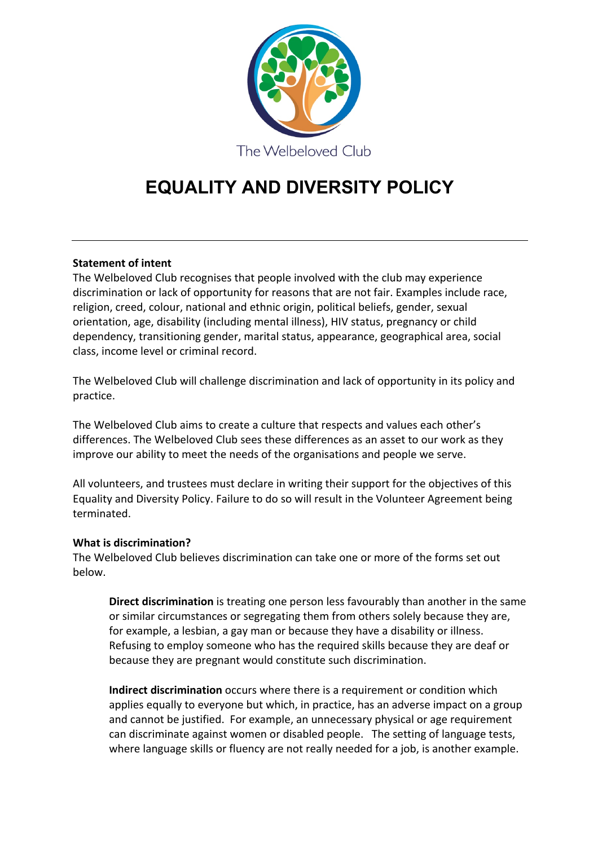

# **EQUALITY AND DIVERSITY POLICY**

# **Statement of intent**

The Welbeloved Club recognises that people involved with the club may experience discrimination or lack of opportunity for reasons that are not fair. Examples include race, religion, creed, colour, national and ethnic origin, political beliefs, gender, sexual orientation, age, disability (including mental illness), HIV status, pregnancy or child dependency, transitioning gender, marital status, appearance, geographical area, social class, income level or criminal record.

The Welbeloved Club will challenge discrimination and lack of opportunity in its policy and practice.

The Welbeloved Club aims to create a culture that respects and values each other's differences. The Welbeloved Club sees these differences as an asset to our work as they improve our ability to meet the needs of the organisations and people we serve.

All volunteers, and trustees must declare in writing their support for the objectives of this Equality and Diversity Policy. Failure to do so will result in the Volunteer Agreement being terminated.

### **What is discrimination?**

The Welbeloved Club believes discrimination can take one or more of the forms set out below.

**Direct discrimination** is treating one person less favourably than another in the same or similar circumstances or segregating them from others solely because they are, for example, a lesbian, a gay man or because they have a disability or illness. Refusing to employ someone who has the required skills because they are deaf or because they are pregnant would constitute such discrimination.

**Indirect discrimination** occurs where there is a requirement or condition which applies equally to everyone but which, in practice, has an adverse impact on a group and cannot be justified. For example, an unnecessary physical or age requirement can discriminate against women or disabled people. The setting of language tests, where language skills or fluency are not really needed for a job, is another example.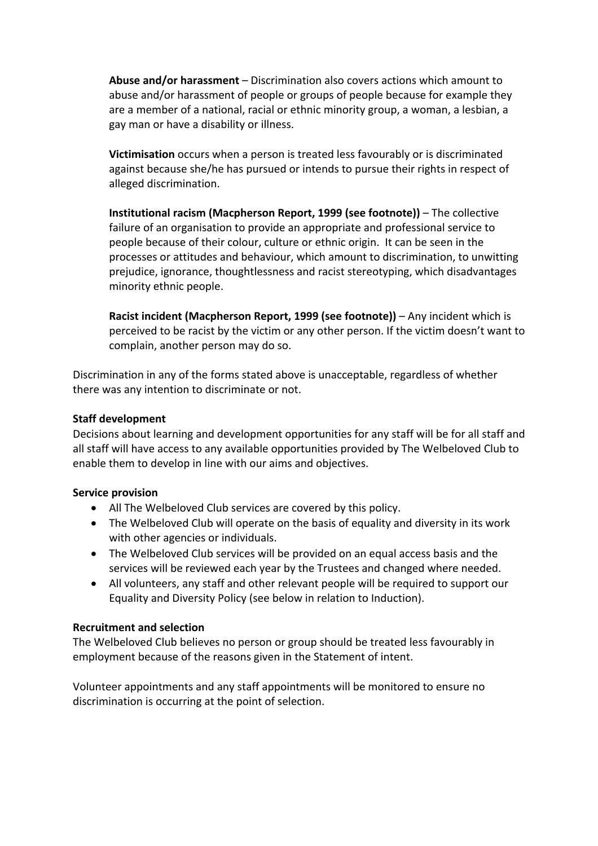**Abuse and/or harassment** – Discrimination also covers actions which amount to abuse and/or harassment of people or groups of people because for example they are a member of a national, racial or ethnic minority group, a woman, a lesbian, a gay man or have a disability or illness.

**Victimisation** occurs when a person is treated less favourably or is discriminated against because she/he has pursued or intends to pursue their rights in respect of alleged discrimination.

**Institutional racism (Macpherson Report, 1999 (see footnote))** – The collective failure of an organisation to provide an appropriate and professional service to people because of their colour, culture or ethnic origin. It can be seen in the processes or attitudes and behaviour, which amount to discrimination, to unwitting prejudice, ignorance, thoughtlessness and racist stereotyping, which disadvantages minority ethnic people.

**Racist incident (Macpherson Report, 1999 (see footnote))** – Any incident which is perceived to be racist by the victim or any other person. If the victim doesn't want to complain, another person may do so.

Discrimination in any of the forms stated above is unacceptable, regardless of whether there was any intention to discriminate or not.

## **Staff development**

Decisions about learning and development opportunities for any staff will be for all staff and all staff will have access to any available opportunities provided by The Welbeloved Club to enable them to develop in line with our aims and objectives.

### **Service provision**

- All The Welbeloved Club services are covered by this policy.
- The Welbeloved Club will operate on the basis of equality and diversity in its work with other agencies or individuals.
- The Welbeloved Club services will be provided on an equal access basis and the services will be reviewed each year by the Trustees and changed where needed.
- All volunteers, any staff and other relevant people will be required to support our Equality and Diversity Policy (see below in relation to Induction).

### **Recruitment and selection**

The Welbeloved Club believes no person or group should be treated less favourably in employment because of the reasons given in the Statement of intent.

Volunteer appointments and any staff appointments will be monitored to ensure no discrimination is occurring at the point of selection.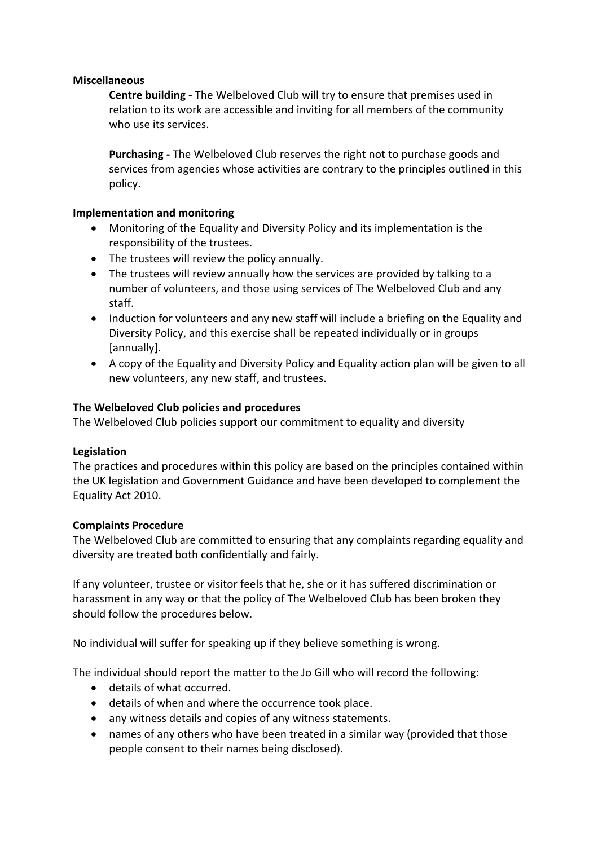# **Miscellaneous**

**Centre building -** The Welbeloved Club will try to ensure that premises used in relation to its work are accessible and inviting for all members of the community who use its services.

**Purchasing -** The Welbeloved Club reserves the right not to purchase goods and services from agencies whose activities are contrary to the principles outlined in this policy.

# **Implementation and monitoring**

- Monitoring of the Equality and Diversity Policy and its implementation is the responsibility of the trustees.
- The trustees will review the policy annually.
- The trustees will review annually how the services are provided by talking to a number of volunteers, and those using services of The Welbeloved Club and any staff.
- Induction for volunteers and any new staff will include a briefing on the Equality and Diversity Policy, and this exercise shall be repeated individually or in groups [annually].
- A copy of the Equality and Diversity Policy and Equality action plan will be given to all new volunteers, any new staff, and trustees.

# **The Welbeloved Club policies and procedures**

The Welbeloved Club policies support our commitment to equality and diversity

### **Legislation**

The practices and procedures within this policy are based on the principles contained within the UK legislation and Government Guidance and have been developed to complement the Equality Act 2010.

### **Complaints Procedure**

The Welbeloved Club are committed to ensuring that any complaints regarding equality and diversity are treated both confidentially and fairly.

If any volunteer, trustee or visitor feels that he, she or it has suffered discrimination or harassment in any way or that the policy of The Welbeloved Club has been broken they should follow the procedures below.

No individual will suffer for speaking up if they believe something is wrong.

The individual should report the matter to the Jo Gill who will record the following:

- details of what occurred.
- details of when and where the occurrence took place.
- any witness details and copies of any witness statements.
- names of any others who have been treated in a similar way (provided that those people consent to their names being disclosed).